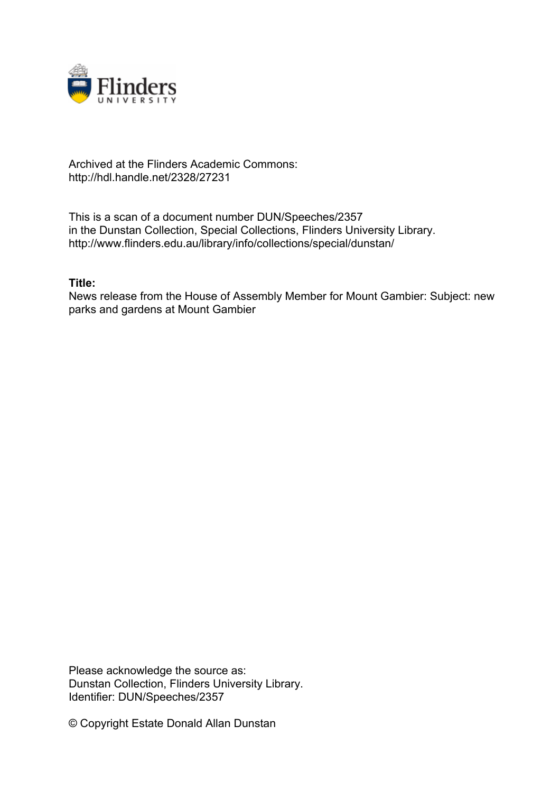

## Archived at the Flinders Academic Commons: http://hdl.handle.net/2328/27231

This is a scan of a document number DUN/Speeches/2357 in the Dunstan Collection, Special Collections, Flinders University Library. http://www.flinders.edu.au/library/info/collections/special/dunstan/

## **Title:**

News release from the House of Assembly Member for Mount Gambier: Subject: new parks and gardens at Mount Gambier

Please acknowledge the source as: Dunstan Collection, Flinders University Library. Identifier: DUN/Speeches/2357

© Copyright Estate Donald Allan Dunstan